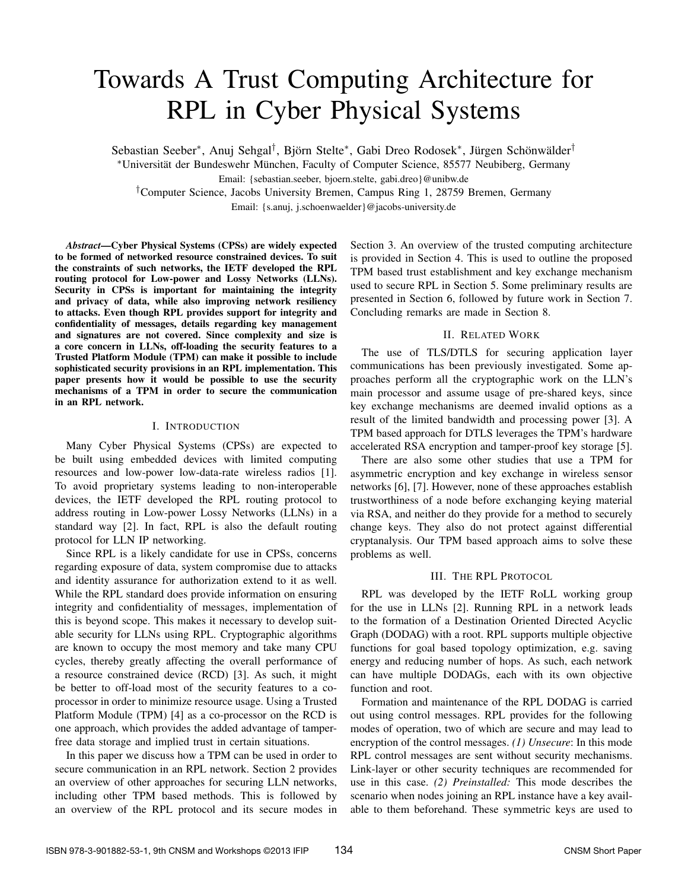# Towards A Trust Computing Architecture for RPL in Cyber Physical Systems

Sebastian Seeber<sup>∗</sup>, Anuj Sehgal<sup>†</sup>, Björn Stelte<sup>∗</sup>, Gabi Dreo Rodosek<sup>∗</sup>, Jürgen Schönwälder<sup>†</sup>

<sup>∗</sup>Universität der Bundeswehr München, Faculty of Computer Science, 85577 Neubiberg, Germany Email: {sebastian.seeber, bjoern.stelte, gabi.dreo}@unibw.de

†Computer Science, Jacobs University Bremen, Campus Ring 1, 28759 Bremen, Germany

Email: {s.anuj, j.schoenwaelder}@jacobs-university.de

*Abstract*—Cyber Physical Systems (CPSs) are widely expected to be formed of networked resource constrained devices. To suit the constraints of such networks, the IETF developed the RPL routing protocol for Low-power and Lossy Networks (LLNs). Security in CPSs is important for maintaining the integrity and privacy of data, while also improving network resiliency to attacks. Even though RPL provides support for integrity and confidentiality of messages, details regarding key management and signatures are not covered. Since complexity and size is a core concern in LLNs, off-loading the security features to a Trusted Platform Module (TPM) can make it possible to include sophisticated security provisions in an RPL implementation. This paper presents how it would be possible to use the security mechanisms of a TPM in order to secure the communication in an RPL network.

## I. INTRODUCTION

Many Cyber Physical Systems (CPSs) are expected to be built using embedded devices with limited computing resources and low-power low-data-rate wireless radios [1]. To avoid proprietary systems leading to non-interoperable devices, the IETF developed the RPL routing protocol to address routing in Low-power Lossy Networks (LLNs) in a standard way [2]. In fact, RPL is also the default routing protocol for LLN IP networking.

Since RPL is a likely candidate for use in CPSs, concerns regarding exposure of data, system compromise due to attacks and identity assurance for authorization extend to it as well. While the RPL standard does provide information on ensuring integrity and confidentiality of messages, implementation of this is beyond scope. This makes it necessary to develop suitable security for LLNs using RPL. Cryptographic algorithms are known to occupy the most memory and take many CPU cycles, thereby greatly affecting the overall performance of a resource constrained device (RCD) [3]. As such, it might be better to off-load most of the security features to a coprocessor in order to minimize resource usage. Using a Trusted Platform Module (TPM) [4] as a co-processor on the RCD is one approach, which provides the added advantage of tamperfree data storage and implied trust in certain situations.

In this paper we discuss how a TPM can be used in order to secure communication in an RPL network. Section 2 provides an overview of other approaches for securing LLN networks, including other TPM based methods. This is followed by an overview of the RPL protocol and its secure modes in

Section 3. An overview of the trusted computing architecture is provided in Section 4. This is used to outline the proposed TPM based trust establishment and key exchange mechanism used to secure RPL in Section 5. Some preliminary results are presented in Section 6, followed by future work in Section 7. Concluding remarks are made in Section 8.

## II. RELATED WORK

The use of TLS/DTLS for securing application layer communications has been previously investigated. Some approaches perform all the cryptographic work on the LLN's main processor and assume usage of pre-shared keys, since key exchange mechanisms are deemed invalid options as a result of the limited bandwidth and processing power [3]. A TPM based approach for DTLS leverages the TPM's hardware accelerated RSA encryption and tamper-proof key storage [5].

There are also some other studies that use a TPM for asymmetric encryption and key exchange in wireless sensor networks [6], [7]. However, none of these approaches establish trustworthiness of a node before exchanging keying material via RSA, and neither do they provide for a method to securely change keys. They also do not protect against differential cryptanalysis. Our TPM based approach aims to solve these problems as well.

# III. THE RPL PROTOCOL

RPL was developed by the IETF RoLL working group for the use in LLNs [2]. Running RPL in a network leads to the formation of a Destination Oriented Directed Acyclic Graph (DODAG) with a root. RPL supports multiple objective functions for goal based topology optimization, e.g. saving energy and reducing number of hops. As such, each network can have multiple DODAGs, each with its own objective function and root.

Formation and maintenance of the RPL DODAG is carried out using control messages. RPL provides for the following modes of operation, two of which are secure and may lead to encryption of the control messages. *(1) Unsecure*: In this mode RPL control messages are sent without security mechanisms. Link-layer or other security techniques are recommended for use in this case. *(2) Preinstalled:* This mode describes the scenario when nodes joining an RPL instance have a key available to them beforehand. These symmetric keys are used to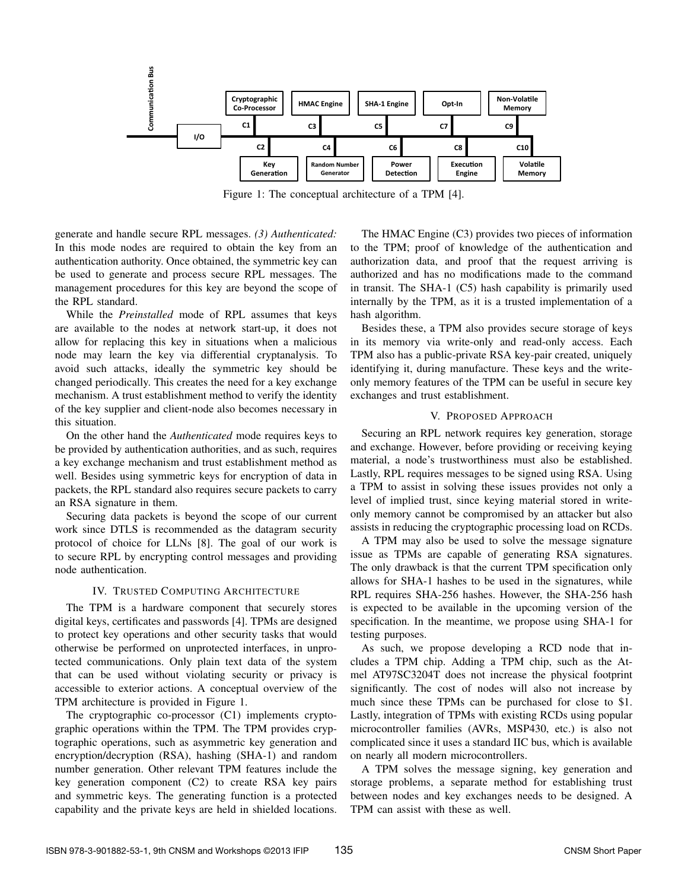

Figure 1: The conceptual architecture of a TPM [4].

generate and handle secure RPL messages. *(3) Authenticated:* In this mode nodes are required to obtain the key from an authentication authority. Once obtained, the symmetric key can be used to generate and process secure RPL messages. The management procedures for this key are beyond the scope of the RPL standard.

While the *Preinstalled* mode of RPL assumes that keys are available to the nodes at network start-up, it does not allow for replacing this key in situations when a malicious node may learn the key via differential cryptanalysis. To avoid such attacks, ideally the symmetric key should be changed periodically. This creates the need for a key exchange mechanism. A trust establishment method to verify the identity of the key supplier and client-node also becomes necessary in this situation.

On the other hand the *Authenticated* mode requires keys to be provided by authentication authorities, and as such, requires a key exchange mechanism and trust establishment method as well. Besides using symmetric keys for encryption of data in packets, the RPL standard also requires secure packets to carry an RSA signature in them.

Securing data packets is beyond the scope of our current work since DTLS is recommended as the datagram security protocol of choice for LLNs [8]. The goal of our work is to secure RPL by encrypting control messages and providing node authentication.

## IV. TRUSTED COMPUTING ARCHITECTURE

The TPM is a hardware component that securely stores digital keys, certificates and passwords [4]. TPMs are designed to protect key operations and other security tasks that would otherwise be performed on unprotected interfaces, in unprotected communications. Only plain text data of the system that can be used without violating security or privacy is accessible to exterior actions. A conceptual overview of the TPM architecture is provided in Figure 1.

The cryptographic co-processor (C1) implements cryptographic operations within the TPM. The TPM provides cryptographic operations, such as asymmetric key generation and encryption/decryption (RSA), hashing (SHA-1) and random number generation. Other relevant TPM features include the key generation component (C2) to create RSA key pairs and symmetric keys. The generating function is a protected capability and the private keys are held in shielded locations.

The HMAC Engine (C3) provides two pieces of information to the TPM; proof of knowledge of the authentication and authorization data, and proof that the request arriving is authorized and has no modifications made to the command in transit. The SHA-1 (C5) hash capability is primarily used internally by the TPM, as it is a trusted implementation of a hash algorithm.

Besides these, a TPM also provides secure storage of keys in its memory via write-only and read-only access. Each TPM also has a public-private RSA key-pair created, uniquely identifying it, during manufacture. These keys and the writeonly memory features of the TPM can be useful in secure key exchanges and trust establishment.

## V. PROPOSED APPROACH

Securing an RPL network requires key generation, storage and exchange. However, before providing or receiving keying material, a node's trustworthiness must also be established. Lastly, RPL requires messages to be signed using RSA. Using a TPM to assist in solving these issues provides not only a level of implied trust, since keying material stored in writeonly memory cannot be compromised by an attacker but also assists in reducing the cryptographic processing load on RCDs.

A TPM may also be used to solve the message signature issue as TPMs are capable of generating RSA signatures. The only drawback is that the current TPM specification only allows for SHA-1 hashes to be used in the signatures, while RPL requires SHA-256 hashes. However, the SHA-256 hash is expected to be available in the upcoming version of the specification. In the meantime, we propose using SHA-1 for testing purposes.

As such, we propose developing a RCD node that includes a TPM chip. Adding a TPM chip, such as the Atmel AT97SC3204T does not increase the physical footprint significantly. The cost of nodes will also not increase by much since these TPMs can be purchased for close to \$1. Lastly, integration of TPMs with existing RCDs using popular microcontroller families (AVRs, MSP430, etc.) is also not complicated since it uses a standard IIC bus, which is available on nearly all modern microcontrollers.

A TPM solves the message signing, key generation and storage problems, a separate method for establishing trust between nodes and key exchanges needs to be designed. A TPM can assist with these as well.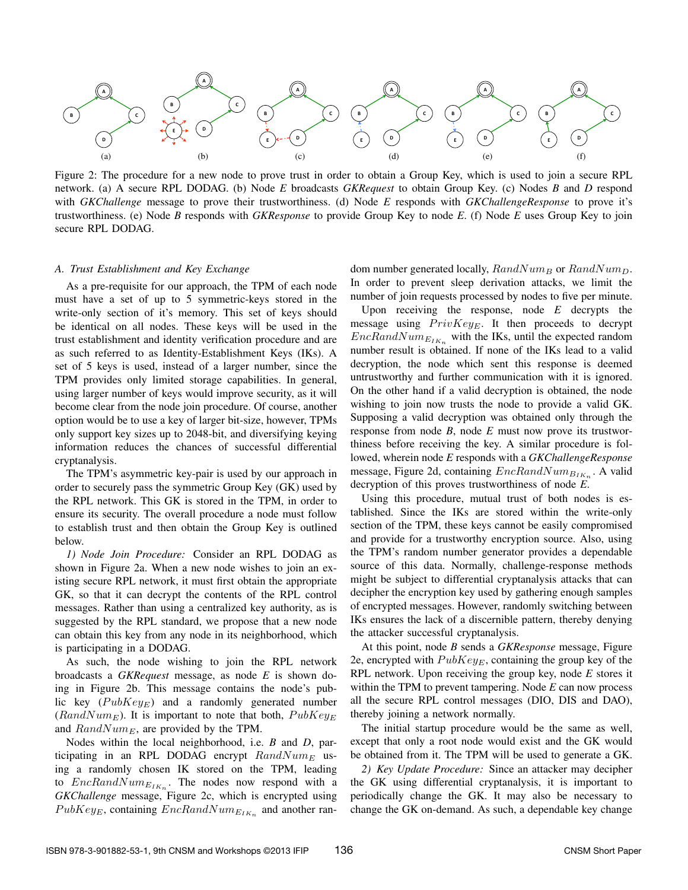

Figure 2: The procedure for a new node to prove trust in order to obtain a Group Key, which is used to join a secure RPL network. (a) A secure RPL DODAG. (b) Node *E* broadcasts *GKRequest* to obtain Group Key. (c) Nodes *B* and *D* respond with *GKChallenge* message to prove their trustworthiness. (d) Node *E* responds with *GKChallengeResponse* to prove it's trustworthiness. (e) Node *B* responds with *GKResponse* to provide Group Key to node *E*. (f) Node *E* uses Group Key to join secure RPL DODAG.

#### *A. Trust Establishment and Key Exchange*

As a pre-requisite for our approach, the TPM of each node must have a set of up to 5 symmetric-keys stored in the write-only section of it's memory. This set of keys should be identical on all nodes. These keys will be used in the trust establishment and identity verification procedure and are as such referred to as Identity-Establishment Keys (IKs). A set of 5 keys is used, instead of a larger number, since the TPM provides only limited storage capabilities. In general, using larger number of keys would improve security, as it will become clear from the node join procedure. Of course, another option would be to use a key of larger bit-size, however, TPMs only support key sizes up to 2048-bit, and diversifying keying information reduces the chances of successful differential cryptanalysis.

The TPM's asymmetric key-pair is used by our approach in order to securely pass the symmetric Group Key (GK) used by the RPL network. This GK is stored in the TPM, in order to ensure its security. The overall procedure a node must follow to establish trust and then obtain the Group Key is outlined below.

*1) Node Join Procedure:* Consider an RPL DODAG as shown in Figure 2a. When a new node wishes to join an existing secure RPL network, it must first obtain the appropriate GK, so that it can decrypt the contents of the RPL control messages. Rather than using a centralized key authority, as is suggested by the RPL standard, we propose that a new node can obtain this key from any node in its neighborhood, which is participating in a DODAG.

As such, the node wishing to join the RPL network broadcasts a *GKRequest* message, as node *E* is shown doing in Figure 2b. This message contains the node's public key  $(PubKey_E)$  and a randomly generated number  $(RandNum<sub>E</sub>)$ . It is important to note that both,  $PubKey<sub>E</sub>$ and  $RandNum_E$ , are provided by the TPM.

Nodes within the local neighborhood, i.e. *B* and *D*, participating in an RPL DODAG encrypt  $RandNum_E$  using a randomly chosen IK stored on the TPM, leading to  $EncRandNum_{E_{IK_n}}$ . The nodes now respond with a *GKChallenge* message, Figure 2c, which is encrypted using  $PubKey_{E}$ , containing  $EncRandNum_{E_{IK_n}}$  and another ran-

dom number generated locally,  $RandNum_B$  or  $RandNum_D$ . In order to prevent sleep derivation attacks, we limit the number of join requests processed by nodes to five per minute.

Upon receiving the response, node *E* decrypts the message using  $PrivKey_E$ . It then proceeds to decrypt  $EncRandNum_{E_{IK_n}}$  with the IKs, until the expected random number result is obtained. If none of the IKs lead to a valid decryption, the node which sent this response is deemed untrustworthy and further communication with it is ignored. On the other hand if a valid decryption is obtained, the node wishing to join now trusts the node to provide a valid GK. Supposing a valid decryption was obtained only through the response from node *B*, node *E* must now prove its trustworthiness before receiving the key. A similar procedure is followed, wherein node *E* responds with a *GKChallengeResponse* message, Figure 2d, containing  $EncRandNum_{B_{IK_n}}$ . A valid decryption of this proves trustworthiness of node *E*.

Using this procedure, mutual trust of both nodes is established. Since the IKs are stored within the write-only section of the TPM, these keys cannot be easily compromised and provide for a trustworthy encryption source. Also, using the TPM's random number generator provides a dependable source of this data. Normally, challenge-response methods might be subject to differential cryptanalysis attacks that can decipher the encryption key used by gathering enough samples of encrypted messages. However, randomly switching between IKs ensures the lack of a discernible pattern, thereby denying the attacker successful cryptanalysis.

At this point, node *B* sends a *GKResponse* message, Figure 2e, encrypted with  $PubKeyE$ , containing the group key of the RPL network. Upon receiving the group key, node *E* stores it within the TPM to prevent tampering. Node *E* can now process all the secure RPL control messages (DIO, DIS and DAO), thereby joining a network normally.

The initial startup procedure would be the same as well, except that only a root node would exist and the GK would be obtained from it. The TPM will be used to generate a GK.

*2) Key Update Procedure:* Since an attacker may decipher the GK using differential cryptanalysis, it is important to periodically change the GK. It may also be necessary to change the GK on-demand. As such, a dependable key change